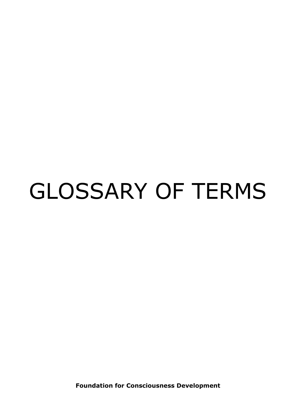## GLOSSARY OF TERMS

**Foundation for Consciousness Development**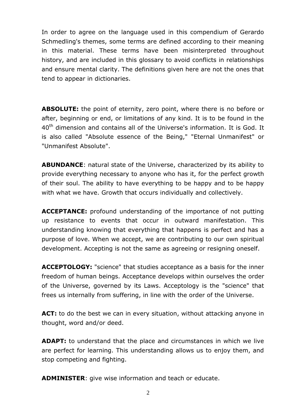In order to agree on the language used in this compendium of Gerardo Schmedling's themes, some terms are defined according to their meaning in this material. These terms have been misinterpreted throughout history, and are included in this glossary to avoid conflicts in relationships and ensure mental clarity. The definitions given here are not the ones that tend to appear in dictionaries.

**ABSOLUTE:** the point of eternity, zero point, where there is no before or after, beginning or end, or limitations of any kind. It is to be found in the 40<sup>th</sup> dimension and contains all of the Universe's information. It is God. It is also called "Absolute essence of the Being," "Eternal Unmanifest" or "Unmanifest Absolute".

**ABUNDANCE**: natural state of the Universe, characterized by its ability to provide everything necessary to anyone who has it, for the perfect growth of their soul. The ability to have everything to be happy and to be happy with what we have. Growth that occurs individually and collectively.

**ACCEPTANCE:** profound understanding of the importance of not putting up resistance to events that occur in outward manifestation. This understanding knowing that everything that happens is perfect and has a purpose of love. When we accept, we are contributing to our own spiritual development. Accepting is not the same as agreeing or resigning oneself.

**ACCEPTOLOGY:** "science" that studies acceptance as a basis for the inner freedom of human beings. Acceptance develops within ourselves the order of the Universe, governed by its Laws. Acceptology is the "science" that frees us internally from suffering, in line with the order of the Universe.

**ACT:** to do the best we can in every situation, without attacking anyone in thought, word and/or deed.

**ADAPT:** to understand that the place and circumstances in which we live are perfect for learning. This understanding allows us to enjoy them, and stop competing and fighting.

**ADMINISTER**: give wise information and teach or educate.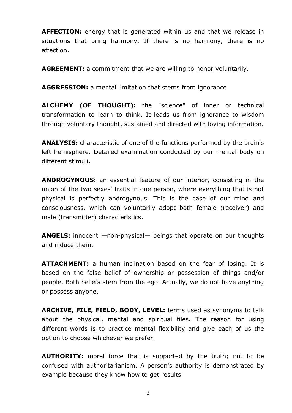**AFFECTION:** energy that is generated within us and that we release in situations that bring harmony. If there is no harmony, there is no affection.

**AGREEMENT:** a commitment that we are willing to honor voluntarily.

**AGGRESSION:** a mental limitation that stems from ignorance.

**ALCHEMY (OF THOUGHT):** the "science" of inner or technical transformation to learn to think. It leads us from ignorance to wisdom through voluntary thought, sustained and directed with loving information.

**ANALYSIS:** characteristic of one of the functions performed by the brain's left hemisphere. Detailed examination conducted by our mental body on different stimuli.

**ANDROGYNOUS:** an essential feature of our interior, consisting in the union of the two sexes' traits in one person, where everything that is not physical is perfectly androgynous. This is the case of our mind and consciousness, which can voluntarily adopt both female (receiver) and male (transmitter) characteristics.

**ANGELS:** innocent —non-physical— beings that operate on our thoughts and induce them.

**ATTACHMENT:** a human inclination based on the fear of losing. It is based on the false belief of ownership or possession of things and/or people. Both beliefs stem from the ego. Actually, we do not have anything or possess anyone.

**ARCHIVE, FILE, FIELD, BODY, LEVEL:** terms used as synonyms to talk about the physical, mental and spiritual files. The reason for using different words is to practice mental flexibility and give each of us the option to choose whichever we prefer.

**AUTHORITY:** moral force that is supported by the truth; not to be confused with authoritarianism. A person's authority is demonstrated by example because they know how to get results.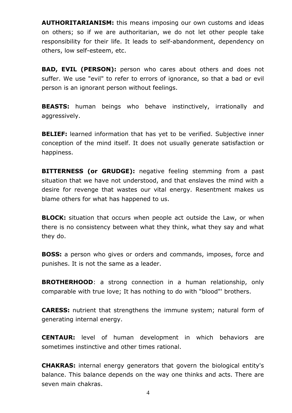**AUTHORITARIANISM:** this means imposing our own customs and ideas on others; so if we are authoritarian, we do not let other people take responsibility for their life. It leads to self-abandonment, dependency on others, low self-esteem, etc.

**BAD, EVIL (PERSON):** person who cares about others and does not suffer. We use "evil" to refer to errors of ignorance, so that a bad or evil person is an ignorant person without feelings.

**BEASTS:** human beings who behave instinctively, irrationally and aggressively.

**BELIEF:** learned information that has yet to be verified. Subjective inner conception of the mind itself. It does not usually generate satisfaction or happiness.

**BITTERNESS (or GRUDGE):** negative feeling stemming from a past situation that we have not understood, and that enslaves the mind with a desire for revenge that wastes our vital energy. Resentment makes us blame others for what has happened to us.

**BLOCK:** situation that occurs when people act outside the Law, or when there is no consistency between what they think, what they say and what they do.

**BOSS:** a person who gives or orders and commands, imposes, force and punishes. It is not the same as a leader.

**BROTHERHOOD**: a strong connection in a human relationship, only comparable with true love; It has nothing to do with "blood"' brothers.

**CARESS:** nutrient that strengthens the immune system; natural form of generating internal energy.

**CENTAUR:** level of human development in which behaviors are sometimes instinctive and other times rational.

**CHAKRAS:** internal energy generators that govern the biological entity's balance. This balance depends on the way one thinks and acts. There are seven main chakras.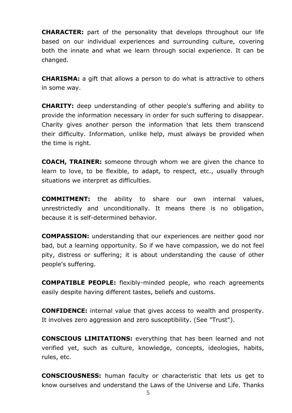**CHARACTER:** part of the personality that develops throughout our life based on our individual experiences and surrounding culture, covering both the innate and what we learn through social experience. It can be changed.

**CHARISMA:** a gift that allows a person to do what is attractive to others in some way.

**CHARITY:** deep understanding of other people's suffering and ability to provide the information necessary in order for such suffering to disappear. Charity gives another person the information that lets them transcend their difficulty. Information, unlike help, must always be provided when the time is right.

**COACH, TRAINER:** someone through whom we are given the chance to learn to love, to be flexible, to adapt, to respect, etc., usually through situations we interpret as difficulties.

**COMMITMENT:** the ability to share our own internal values, unrestrictedly and unconditionally. It means there is no obligation, because it is self-determined behavior.

**COMPASSION:** understanding that our experiences are neither good nor bad, but a learning opportunity. So if we have compassion, we do not feel pity, distress or suffering; it is about understanding the cause of other people's suffering.

**COMPATIBLE PEOPLE:** flexibly-minded people, who reach agreements easily despite having different tastes, beliefs and customs.

**CONFIDENCE:** internal value that gives access to wealth and prosperity. It involves zero aggression and zero susceptibility. (See "Trust").

**CONSCIOUS LIMITATIONS:** everything that has been learned and not verified yet, such as culture, knowledge, concepts, ideologies, habits, rules, etc.

**CONSCIOUSNESS:** human faculty or characteristic that lets us get to know ourselves and understand the Laws of the Universe and Life. Thanks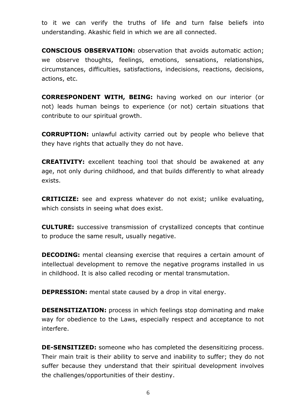to it we can verify the truths of life and turn false beliefs into understanding. Akashic field in which we are all connected.

**CONSCIOUS OBSERVATION:** observation that avoids automatic action; we observe thoughts, feelings, emotions, sensations, relationships, circumstances, difficulties, satisfactions, indecisions, reactions, decisions, actions, etc.

**CORRESPONDENT WITH, BEING:** having worked on our interior (or not) leads human beings to experience (or not) certain situations that contribute to our spiritual growth.

**CORRUPTION:** unlawful activity carried out by people who believe that they have rights that actually they do not have.

**CREATIVITY:** excellent teaching tool that should be awakened at any age, not only during childhood, and that builds differently to what already exists.

**CRITICIZE:** see and express whatever do not exist; unlike evaluating, which consists in seeing what does exist.

**CULTURE:** successive transmission of crystallized concepts that continue to produce the same result, usually negative.

**DECODING:** mental cleansing exercise that requires a certain amount of intellectual development to remove the negative programs installed in us in childhood. It is also called recoding or mental transmutation.

**DEPRESSION:** mental state caused by a drop in vital energy.

**DESENSITIZATION:** process in which feelings stop dominating and make way for obedience to the Laws, especially respect and acceptance to not interfere.

**DE-SENSITIZED:** someone who has completed the desensitizing process. Their main trait is their ability to serve and inability to suffer; they do not suffer because they understand that their spiritual development involves the challenges/opportunities of their destiny.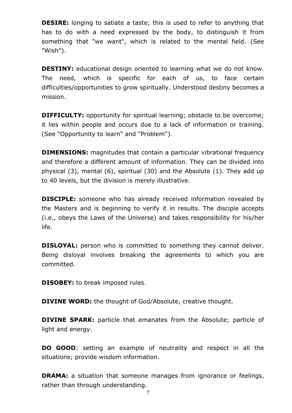**DESIRE:** longing to satiate a taste; this is used to refer to anything that has to do with a need expressed by the body, to distinguish it from something that "we want", which is related to the mental field. (See "Wish").

**DESTINY:** educational design oriented to learning what we do not know. The need, which is specific for each of us, to face certain difficulties/opportunities to grow spiritually. Understood destiny becomes a mission.

**DIFFICULTY:** opportunity for spiritual learning; obstacle to be overcome; it lies within people and occurs due to a lack of information or training. (See "Opportunity to learn" and "Problem").

**DIMENSIONS:** magnitudes that contain a particular vibrational frequency and therefore a different amount of information. They can be divided into physical (3), mental (6), spiritual (30) and the Absolute (1). They add up to 40 levels, but the division is merely illustrative.

**DISCIPLE:** someone who has already received information revealed by the Masters and is beginning to verify it in results. The disciple accepts (i.e., obeys the Laws of the Universe) and takes responsibility for his/her life.

**DISLOYAL:** person who is committed to something they cannot deliver. Being disloyal involves breaking the agreements to which you are committed.

**DISOBEY:** to break imposed rules.

**DIVINE WORD:** the thought of God/Absolute, creative thought.

**DIVINE SPARK:** particle that emanates from the Absolute; particle of light and energy.

**DO GOOD**: setting an example of neutrality and respect in all the situations; provide wisdom information.

**DRAMA:** a situation that someone manages from ignorance or feelings, rather than through understanding.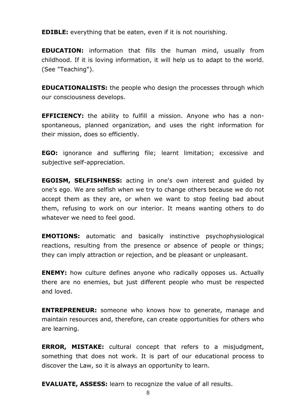**EDIBLE:** everything that be eaten, even if it is not nourishing.

**EDUCATION:** information that fills the human mind, usually from childhood. If it is loving information, it will help us to adapt to the world. (See "Teaching").

**EDUCATIONALISTS:** the people who design the processes through which our consciousness develops.

**EFFICIENCY:** the ability to fulfill a mission. Anyone who has a nonspontaneous, planned organization, and uses the right information for their mission, does so efficiently.

**EGO:** ignorance and suffering file; learnt limitation; excessive and subjective self-appreciation.

**EGOISM, SELFISHNESS:** acting in one's own interest and guided by one's ego. We are selfish when we try to change others because we do not accept them as they are, or when we want to stop feeling bad about them, refusing to work on our interior. It means wanting others to do whatever we need to feel good.

**EMOTIONS:** automatic and basically instinctive psychophysiological reactions, resulting from the presence or absence of people or things; they can imply attraction or rejection, and be pleasant or unpleasant.

**ENEMY:** how culture defines anyone who radically opposes us. Actually there are no enemies, but just different people who must be respected and loved.

**ENTREPRENEUR:** someone who knows how to generate, manage and maintain resources and, therefore, can create opportunities for others who are learning.

**ERROR, MISTAKE:** cultural concept that refers to a misjudgment, something that does not work. It is part of our educational process to discover the Law, so it is always an opportunity to learn.

**EVALUATE, ASSESS:** learn to recognize the value of all results.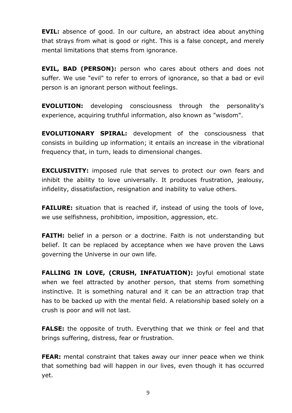**EVIL:** absence of good. In our culture, an abstract idea about anything that strays from what is good or right. This is a false concept, and merely mental limitations that stems from ignorance.

**EVIL, BAD (PERSON):** person who cares about others and does not suffer. We use "evil" to refer to errors of ignorance, so that a bad or evil person is an ignorant person without feelings.

**EVOLUTION:** developing consciousness through the personality's experience, acquiring truthful information, also known as "wisdom".

**EVOLUTIONARY SPIRAL:** development of the consciousness that consists in building up information; it entails an increase in the vibrational frequency that, in turn, leads to dimensional changes.

**EXCLUSIVITY:** imposed rule that serves to protect our own fears and inhibit the ability to love universally. It produces frustration, jealousy, infidelity, dissatisfaction, resignation and inability to value others.

**FAILURE:** situation that is reached if, instead of using the tools of love, we use selfishness, prohibition, imposition, aggression, etc.

**FAITH:** belief in a person or a doctrine. Faith is not understanding but belief. It can be replaced by acceptance when we have proven the Laws governing the Universe in our own life.

**FALLING IN LOVE, (CRUSH, INFATUATION):** joyful emotional state when we feel attracted by another person, that stems from something instinctive. It is something natural and it can be an attraction trap that has to be backed up with the mental field. A relationship based solely on a crush is poor and will not last.

**FALSE:** the opposite of truth. Everything that we think or feel and that brings suffering, distress, fear or frustration.

**FEAR:** mental constraint that takes away our inner peace when we think that something bad will happen in our lives, even though it has occurred yet.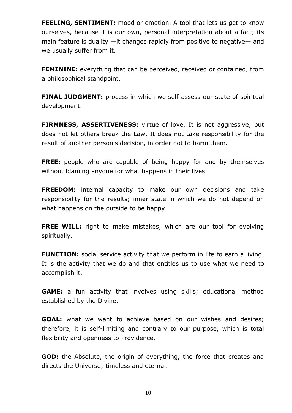**FEELING, SENTIMENT:** mood or emotion. A tool that lets us get to know ourselves, because it is our own, personal interpretation about a fact; its main feature is duality —it changes rapidly from positive to negative— and we usually suffer from it.

**FEMININE:** everything that can be perceived, received or contained, from a philosophical standpoint.

**FINAL JUDGMENT:** process in which we self-assess our state of spiritual development.

**FIRMNESS, ASSERTIVENESS:** virtue of love. It is not aggressive, but does not let others break the Law. It does not take responsibility for the result of another person's decision, in order not to harm them.

**FREE:** people who are capable of being happy for and by themselves without blaming anyone for what happens in their lives.

**FREEDOM:** internal capacity to make our own decisions and take responsibility for the results; inner state in which we do not depend on what happens on the outside to be happy.

**FREE WILL:** right to make mistakes, which are our tool for evolving spiritually.

**FUNCTION:** social service activity that we perform in life to earn a living. It is the activity that we do and that entitles us to use what we need to accomplish it.

**GAME:** a fun activity that involves using skills; educational method established by the Divine.

**GOAL:** what we want to achieve based on our wishes and desires; therefore, it is self-limiting and contrary to our purpose, which is total flexibility and openness to Providence.

**GOD:** the Absolute, the origin of everything, the force that creates and directs the Universe; timeless and eternal.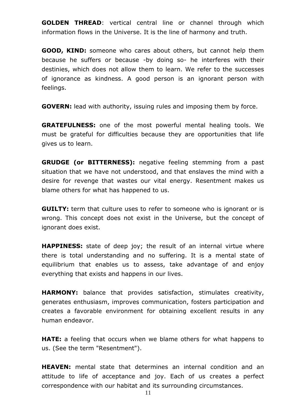**GOLDEN THREAD**: vertical central line or channel through which information flows in the Universe. It is the line of harmony and truth.

**GOOD, KIND:** someone who cares about others, but cannot help them because he suffers or because -by doing so- he interferes with their destinies, which does not allow them to learn. We refer to the successes of ignorance as kindness. A good person is an ignorant person with feelings.

**GOVERN:** lead with authority, issuing rules and imposing them by force.

**GRATEFULNESS:** one of the most powerful mental healing tools. We must be grateful for difficulties because they are opportunities that life gives us to learn.

**GRUDGE (or BITTERNESS):** negative feeling stemming from a past situation that we have not understood, and that enslaves the mind with a desire for revenge that wastes our vital energy. Resentment makes us blame others for what has happened to us.

**GUILTY:** term that culture uses to refer to someone who is ignorant or is wrong. This concept does not exist in the Universe, but the concept of ignorant does exist.

**HAPPINESS:** state of deep joy; the result of an internal virtue where there is total understanding and no suffering. It is a mental state of equilibrium that enables us to assess, take advantage of and enjoy everything that exists and happens in our lives.

**HARMONY:** balance that provides satisfaction, stimulates creativity, generates enthusiasm, improves communication, fosters participation and creates a favorable environment for obtaining excellent results in any human endeavor.

**HATE:** a feeling that occurs when we blame others for what happens to us. (See the term "Resentment").

**HEAVEN:** mental state that determines an internal condition and an attitude to life of acceptance and joy. Each of us creates a perfect correspondence with our habitat and its surrounding circumstances.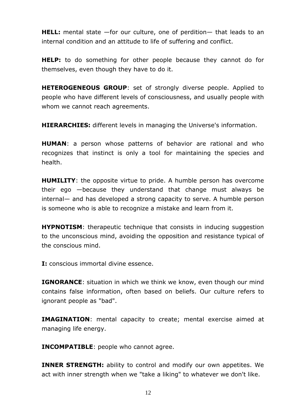**HELL:** mental state —for our culture, one of perdition— that leads to an internal condition and an attitude to life of suffering and conflict.

**HELP:** to do something for other people because they cannot do for themselves, even though they have to do it.

**HETEROGENEOUS GROUP**: set of strongly diverse people. Applied to people who have different levels of consciousness, and usually people with whom we cannot reach agreements.

**HIERARCHIES:** different levels in managing the Universe's information.

**HUMAN**: a person whose patterns of behavior are rational and who recognizes that instinct is only a tool for maintaining the species and health.

**HUMILITY**: the opposite virtue to pride. A humble person has overcome their ego —because they understand that change must always be internal— and has developed a strong capacity to serve. A humble person is someone who is able to recognize a mistake and learn from it.

**HYPNOTISM:** therapeutic technique that consists in inducing suggestion to the unconscious mind, avoiding the opposition and resistance typical of the conscious mind.

**I:** conscious immortal divine essence.

**IGNORANCE**: situation in which we think we know, even though our mind contains false information, often based on beliefs. Our culture refers to ignorant people as "bad".

**IMAGINATION**: mental capacity to create; mental exercise aimed at managing life energy.

**INCOMPATIBLE**: people who cannot agree.

**INNER STRENGTH:** ability to control and modify our own appetites. We act with inner strength when we "take a liking" to whatever we don't like.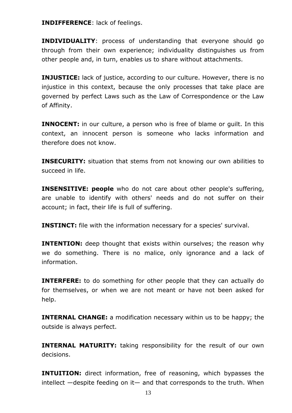**INDIFFERENCE**: lack of feelings.

**INDIVIDUALITY**: process of understanding that everyone should go through from their own experience; individuality distinguishes us from other people and, in turn, enables us to share without attachments.

**INJUSTICE:** lack of justice, according to our culture. However, there is no injustice in this context, because the only processes that take place are governed by perfect Laws such as the Law of Correspondence or the Law of Affinity.

**INNOCENT:** in our culture, a person who is free of blame or quilt. In this context, an innocent person is someone who lacks information and therefore does not know.

**INSECURITY:** situation that stems from not knowing our own abilities to succeed in life.

**INSENSITIVE: people** who do not care about other people's suffering, are unable to identify with others' needs and do not suffer on their account; in fact, their life is full of suffering.

**INSTINCT:** file with the information necessary for a species' survival.

**INTENTION:** deep thought that exists within ourselves; the reason why we do something. There is no malice, only ignorance and a lack of information.

**INTERFERE:** to do something for other people that they can actually do for themselves, or when we are not meant or have not been asked for help.

**INTERNAL CHANGE:** a modification necessary within us to be happy; the outside is always perfect.

**INTERNAL MATURITY:** taking responsibility for the result of our own decisions.

**INTUITION:** direct information, free of reasoning, which bypasses the intellect —despite feeding on it— and that corresponds to the truth. When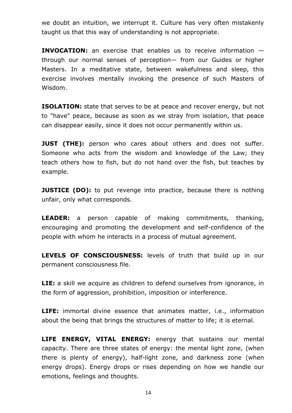we doubt an intuition, we interrupt it. Culture has very often mistakenly taught us that this way of understanding is not appropriate.

**INVOCATION:** an exercise that enables us to receive information through our normal senses of perception— from our Guides or higher Masters. In a meditative state, between wakefulness and sleep, this exercise involves mentally invoking the presence of such Masters of Wisdom.

**ISOLATION:** state that serves to be at peace and recover energy, but not to "have" peace, because as soon as we stray from isolation, that peace can disappear easily, since it does not occur permanently within us.

**JUST (THE):** person who cares about others and does not suffer. Someone who acts from the wisdom and knowledge of the Law; they teach others how to fish, but do not hand over the fish, but teaches by example.

**JUSTICE (DO):** to put revenge into practice, because there is nothing unfair, only what corresponds.

**LEADER:** a person capable of making commitments, thanking, encouraging and promoting the development and self-confidence of the people with whom he interacts in a process of mutual agreement.

**LEVELS OF CONSCIOUSNESS:** levels of truth that build up in our permanent consciousness file.

**LIE:** a skill we acquire as children to defend ourselves from ignorance, in the form of aggression, prohibition, imposition or interference.

**LIFE:** immortal divine essence that animates matter, i.e., information about the being that brings the structures of matter to life; it is eternal.

**LIFE ENERGY, VITAL ENERGY:** energy that sustains our mental capacity. There are three states of energy: the mental light zone, (when there is plenty of energy), half-light zone, and darkness zone (when energy drops). Energy drops or rises depending on how we handle our emotions, feelings and thoughts.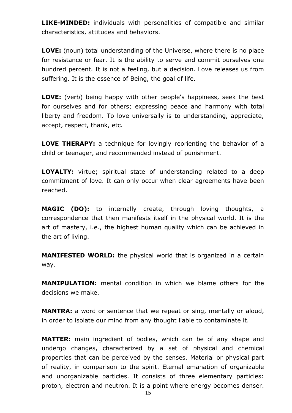**LIKE-MINDED:** individuals with personalities of compatible and similar characteristics, attitudes and behaviors.

**LOVE:** (noun) total understanding of the Universe, where there is no place for resistance or fear. It is the ability to serve and commit ourselves one hundred percent. It is not a feeling, but a decision. Love releases us from suffering. It is the essence of Being, the goal of life.

**LOVE:** (verb) being happy with other people's happiness, seek the best for ourselves and for others; expressing peace and harmony with total liberty and freedom. To love universally is to understanding, appreciate, accept, respect, thank, etc.

**LOVE THERAPY:** a technique for lovingly reorienting the behavior of a child or teenager, and recommended instead of punishment.

**LOYALTY:** virtue; spiritual state of understanding related to a deep commitment of love. It can only occur when clear agreements have been reached.

**MAGIC (DO):** to internally create, through loving thoughts, a correspondence that then manifests itself in the physical world. It is the art of mastery, i.e., the highest human quality which can be achieved in the art of living.

**MANIFESTED WORLD:** the physical world that is organized in a certain way.

**MANIPULATION:** mental condition in which we blame others for the decisions we make.

**MANTRA:** a word or sentence that we repeat or sing, mentally or aloud, in order to isolate our mind from any thought liable to contaminate it.

**MATTER:** main ingredient of bodies, which can be of any shape and undergo changes, characterized by a set of physical and chemical properties that can be perceived by the senses. Material or physical part of reality, in comparison to the spirit. Eternal emanation of organizable and unorganizable particles. It consists of three elementary particles: proton, electron and neutron. It is a point where energy becomes denser.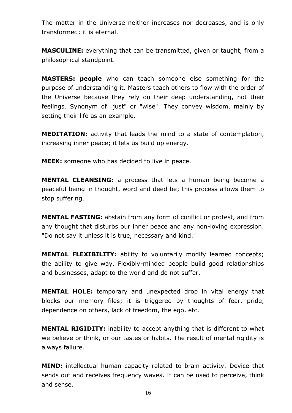The matter in the Universe neither increases nor decreases, and is only transformed; it is eternal.

**MASCULINE:** everything that can be transmitted, given or taught, from a philosophical standpoint.

**MASTERS: people** who can teach someone else something for the purpose of understanding it. Masters teach others to flow with the order of the Universe because they rely on their deep understanding, not their feelings. Synonym of "just" or "wise". They convey wisdom, mainly by setting their life as an example.

**MEDITATION:** activity that leads the mind to a state of contemplation, increasing inner peace; it lets us build up energy.

**MEEK:** someone who has decided to live in peace.

**MENTAL CLEANSING:** a process that lets a human being become a peaceful being in thought, word and deed be; this process allows them to stop suffering.

**MENTAL FASTING:** abstain from any form of conflict or protest, and from any thought that disturbs our inner peace and any non-loving expression. "Do not say it unless it is true, necessary and kind."

**MENTAL FLEXIBILITY:** ability to voluntarily modify learned concepts; the ability to give way. Flexibly-minded people build good relationships and businesses, adapt to the world and do not suffer.

**MENTAL HOLE:** temporary and unexpected drop in vital energy that blocks our memory files; it is triggered by thoughts of fear, pride, dependence on others, lack of freedom, the ego, etc.

**MENTAL RIGIDITY:** inability to accept anything that is different to what we believe or think, or our tastes or habits. The result of mental rigidity is always failure.

**MIND:** intellectual human capacity related to brain activity. Device that sends out and receives frequency waves. It can be used to perceive, think and sense.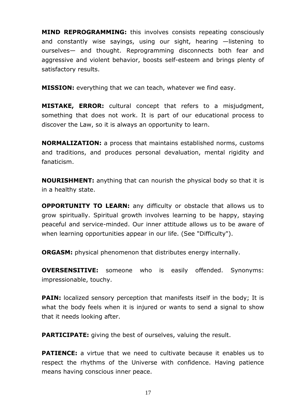**MIND REPROGRAMMING:** this involves consists repeating consciously and constantly wise sayings, using our sight, hearing —listening to ourselves— and thought. Reprogramming disconnects both fear and aggressive and violent behavior, boosts self-esteem and brings plenty of satisfactory results.

**MISSION:** everything that we can teach, whatever we find easy.

**MISTAKE, ERROR:** cultural concept that refers to a misjudgment, something that does not work. It is part of our educational process to discover the Law, so it is always an opportunity to learn.

**NORMALIZATION:** a process that maintains established norms, customs and traditions, and produces personal devaluation, mental rigidity and fanaticism.

**NOURISHMENT:** anything that can nourish the physical body so that it is in a healthy state.

**OPPORTUNITY TO LEARN:** any difficulty or obstacle that allows us to grow spiritually. Spiritual growth involves learning to be happy, staying peaceful and service-minded. Our inner attitude allows us to be aware of when learning opportunities appear in our life. (See "Difficulty").

**ORGASM:** physical phenomenon that distributes energy internally.

**OVERSENSITIVE:** someone who is easily offended. Synonyms: impressionable, touchy.

**PAIN:** localized sensory perception that manifests itself in the body; It is what the body feels when it is injured or wants to send a signal to show that it needs looking after.

**PARTICIPATE:** giving the best of ourselves, valuing the result.

**PATIENCE:** a virtue that we need to cultivate because it enables us to respect the rhythms of the Universe with confidence. Having patience means having conscious inner peace.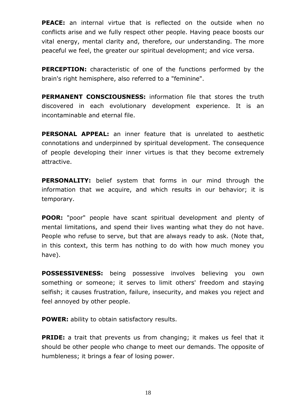**PEACE:** an internal virtue that is reflected on the outside when no conflicts arise and we fully respect other people. Having peace boosts our vital energy, mental clarity and, therefore, our understanding. The more peaceful we feel, the greater our spiritual development; and vice versa.

**PERCEPTION:** characteristic of one of the functions performed by the brain's right hemisphere, also referred to a "feminine".

**PERMANENT CONSCIOUSNESS:** information file that stores the truth discovered in each evolutionary development experience. It is an incontaminable and eternal file.

**PERSONAL APPEAL:** an inner feature that is unrelated to aesthetic connotations and underpinned by spiritual development. The consequence of people developing their inner virtues is that they become extremely attractive.

**PERSONALITY:** belief system that forms in our mind through the information that we acquire, and which results in our behavior; it is temporary.

**POOR:** "poor" people have scant spiritual development and plenty of mental limitations, and spend their lives wanting what they do not have. People who refuse to serve, but that are always ready to ask. (Note that, in this context, this term has nothing to do with how much money you have).

**POSSESSIVENESS:** being possessive involves believing you own something or someone; it serves to limit others' freedom and staying selfish; it causes frustration, failure, insecurity, and makes you reject and feel annoyed by other people.

**POWER:** ability to obtain satisfactory results.

**PRIDE:** a trait that prevents us from changing; it makes us feel that it should be other people who change to meet our demands. The opposite of humbleness; it brings a fear of losing power.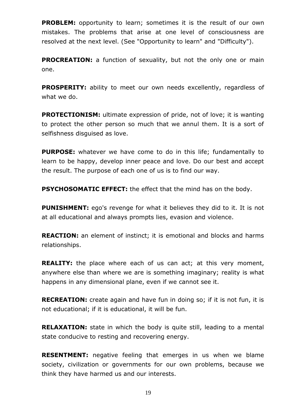**PROBLEM:** opportunity to learn; sometimes it is the result of our own mistakes. The problems that arise at one level of consciousness are resolved at the next level. (See "Opportunity to learn" and "Difficulty").

**PROCREATION:** a function of sexuality, but not the only one or main one.

**PROSPERITY:** ability to meet our own needs excellently, regardless of what we do.

**PROTECTIONISM:** ultimate expression of pride, not of love; it is wanting to protect the other person so much that we annul them. It is a sort of selfishness disguised as love.

**PURPOSE:** whatever we have come to do in this life; fundamentally to learn to be happy, develop inner peace and love. Do our best and accept the result. The purpose of each one of us is to find our way.

**PSYCHOSOMATIC EFFECT:** the effect that the mind has on the body.

**PUNISHMENT:** ego's revenge for what it believes they did to it. It is not at all educational and always prompts lies, evasion and violence.

**REACTION:** an element of instinct; it is emotional and blocks and harms relationships.

**REALITY:** the place where each of us can act; at this very moment, anywhere else than where we are is something imaginary; reality is what happens in any dimensional plane, even if we cannot see it.

**RECREATION:** create again and have fun in doing so; if it is not fun, it is not educational; if it is educational, it will be fun.

**RELAXATION:** state in which the body is quite still, leading to a mental state conducive to resting and recovering energy.

**RESENTMENT:** negative feeling that emerges in us when we blame society, civilization or governments for our own problems, because we think they have harmed us and our interests.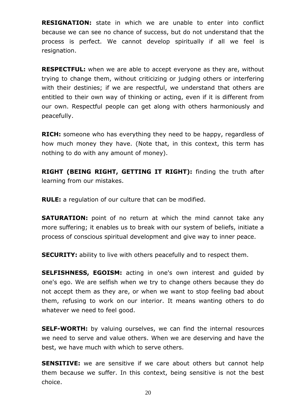**RESIGNATION:** state in which we are unable to enter into conflict because we can see no chance of success, but do not understand that the process is perfect. We cannot develop spiritually if all we feel is resignation.

**RESPECTFUL:** when we are able to accept everyone as they are, without trying to change them, without criticizing or judging others or interfering with their destinies; if we are respectful, we understand that others are entitled to their own way of thinking or acting, even if it is different from our own. Respectful people can get along with others harmoniously and peacefully.

**RICH:** someone who has everything they need to be happy, regardless of how much money they have. (Note that, in this context, this term has nothing to do with any amount of money).

**RIGHT (BEING RIGHT, GETTING IT RIGHT):** finding the truth after learning from our mistakes.

**RULE:** a regulation of our culture that can be modified.

**SATURATION:** point of no return at which the mind cannot take any more suffering; it enables us to break with our system of beliefs, initiate a process of conscious spiritual development and give way to inner peace.

**SECURITY:** ability to live with others peacefully and to respect them.

**SELFISHNESS, EGOISM:** acting in one's own interest and guided by one's ego. We are selfish when we try to change others because they do not accept them as they are, or when we want to stop feeling bad about them, refusing to work on our interior. It means wanting others to do whatever we need to feel good.

**SELF-WORTH:** by valuing ourselves, we can find the internal resources we need to serve and value others. When we are deserving and have the best, we have much with which to serve others.

**SENSITIVE:** we are sensitive if we care about others but cannot help them because we suffer. In this context, being sensitive is not the best choice.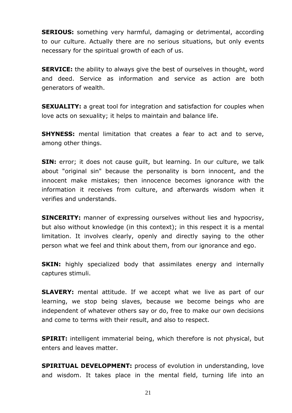**SERIOUS:** something very harmful, damaging or detrimental, according to our culture. Actually there are no serious situations, but only events necessary for the spiritual growth of each of us.

**SERVICE:** the ability to always give the best of ourselves in thought, word and deed. Service as information and service as action are both generators of wealth.

**SEXUALITY:** a great tool for integration and satisfaction for couples when love acts on sexuality; it helps to maintain and balance life.

**SHYNESS:** mental limitation that creates a fear to act and to serve, among other things.

**SIN:** error; it does not cause quilt, but learning. In our culture, we talk about "original sin" because the personality is born innocent, and the innocent make mistakes; then innocence becomes ignorance with the information it receives from culture, and afterwards wisdom when it verifies and understands.

**SINCERITY:** manner of expressing ourselves without lies and hypocrisy, but also without knowledge (in this context); in this respect it is a mental limitation. It involves clearly, openly and directly saying to the other person what we feel and think about them, from our ignorance and ego.

**SKIN:** highly specialized body that assimilates energy and internally captures stimuli.

**SLAVERY:** mental attitude. If we accept what we live as part of our learning, we stop being slaves, because we become beings who are independent of whatever others say or do, free to make our own decisions and come to terms with their result, and also to respect.

**SPIRIT:** intelligent immaterial being, which therefore is not physical, but enters and leaves matter.

**SPIRITUAL DEVELOPMENT:** process of evolution in understanding, love and wisdom. It takes place in the mental field, turning life into an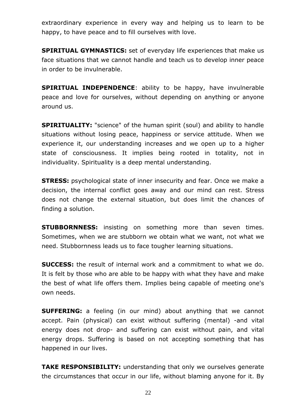extraordinary experience in every way and helping us to learn to be happy, to have peace and to fill ourselves with love.

**SPIRITUAL GYMNASTICS:** set of everyday life experiences that make us face situations that we cannot handle and teach us to develop inner peace in order to be invulnerable.

**SPIRITUAL INDEPENDENCE**: ability to be happy, have invulnerable peace and love for ourselves, without depending on anything or anyone around us.

**SPIRITUALITY:** "science" of the human spirit (soul) and ability to handle situations without losing peace, happiness or service attitude. When we experience it, our understanding increases and we open up to a higher state of consciousness. It implies being rooted in totality, not in individuality. Spirituality is a deep mental understanding.

**STRESS:** psychological state of inner insecurity and fear. Once we make a decision, the internal conflict goes away and our mind can rest. Stress does not change the external situation, but does limit the chances of finding a solution.

**STUBBORNNESS:** insisting on something more than seven times. Sometimes, when we are stubborn we obtain what we want, not what we need. Stubbornness leads us to face tougher learning situations.

**SUCCESS:** the result of internal work and a commitment to what we do. It is felt by those who are able to be happy with what they have and make the best of what life offers them. Implies being capable of meeting one's own needs.

**SUFFERING:** a feeling (in our mind) about anything that we cannot accept. Pain (physical) can exist without suffering (mental) -and vital energy does not drop- and suffering can exist without pain, and vital energy drops. Suffering is based on not accepting something that has happened in our lives.

**TAKE RESPONSIBILITY:** understanding that only we ourselves generate the circumstances that occur in our life, without blaming anyone for it. By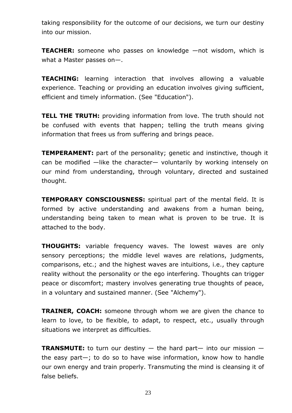taking responsibility for the outcome of our decisions, we turn our destiny into our mission.

**TEACHER:** someone who passes on knowledge —not wisdom, which is what a Master passes on—.

**TEACHING:** learning interaction that involves allowing a valuable experience. Teaching or providing an education involves giving sufficient, efficient and timely information. (See "Education").

**TELL THE TRUTH:** providing information from love. The truth should not be confused with events that happen; telling the truth means giving information that frees us from suffering and brings peace.

**TEMPERAMENT:** part of the personality; genetic and instinctive, though it can be modified —like the character— voluntarily by working intensely on our mind from understanding, through voluntary, directed and sustained thought.

**TEMPORARY CONSCIOUSNESS:** spiritual part of the mental field. It is formed by active understanding and awakens from a human being, understanding being taken to mean what is proven to be true. It is attached to the body.

**THOUGHTS:** variable frequency waves. The lowest waves are only sensory perceptions; the middle level waves are relations, judgments, comparisons, etc.; and the highest waves are intuitions, i.e., they capture reality without the personality or the ego interfering. Thoughts can trigger peace or discomfort; mastery involves generating true thoughts of peace, in a voluntary and sustained manner. (See "Alchemy").

**TRAINER, COACH:** someone through whom we are given the chance to learn to love, to be flexible, to adapt, to respect, etc., usually through situations we interpret as difficulties.

**TRANSMUTE:** to turn our destiny — the hard part— into our mission the easy part—; to do so to have wise information, know how to handle our own energy and train properly. Transmuting the mind is cleansing it of false beliefs.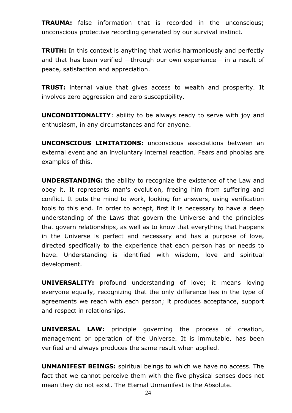**TRAUMA:** false information that is recorded in the unconscious; unconscious protective recording generated by our survival instinct.

**TRUTH:** In this context is anything that works harmoniously and perfectly and that has been verified —through our own experience— in a result of peace, satisfaction and appreciation.

**TRUST:** internal value that gives access to wealth and prosperity. It involves zero aggression and zero susceptibility.

**UNCONDITIONALITY**: ability to be always ready to serve with joy and enthusiasm, in any circumstances and for anyone.

**UNCONSCIOUS LIMITATIONS:** unconscious associations between an external event and an involuntary internal reaction. Fears and phobias are examples of this.

**UNDERSTANDING:** the ability to recognize the existence of the Law and obey it. It represents man's evolution, freeing him from suffering and conflict. It puts the mind to work, looking for answers, using verification tools to this end. In order to accept, first it is necessary to have a deep understanding of the Laws that govern the Universe and the principles that govern relationships, as well as to know that everything that happens in the Universe is perfect and necessary and has a purpose of love, directed specifically to the experience that each person has or needs to have. Understanding is identified with wisdom, love and spiritual development.

**UNIVERSALITY:** profound understanding of love; it means loving everyone equally, recognizing that the only difference lies in the type of agreements we reach with each person; it produces acceptance, support and respect in relationships.

**UNIVERSAL LAW:** principle governing the process of creation, management or operation of the Universe. It is immutable, has been verified and always produces the same result when applied.

**UNMANIFEST BEINGS:** spiritual beings to which we have no access. The fact that we cannot perceive them with the five physical senses does not mean they do not exist. The Eternal Unmanifest is the Absolute.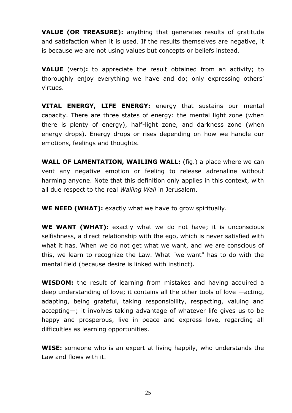**VALUE (OR TREASURE):** anything that generates results of gratitude and satisfaction when it is used. If the results themselves are negative, it is because we are not using values but concepts or beliefs instead.

**VALUE** (verb)**:** to appreciate the result obtained from an activity; to thoroughly enjoy everything we have and do; only expressing others' virtues.

**VITAL ENERGY, LIFE ENERGY:** energy that sustains our mental capacity. There are three states of energy: the mental light zone (when there is plenty of energy), half-light zone, and darkness zone (when energy drops). Energy drops or rises depending on how we handle our emotions, feelings and thoughts.

**WALL OF LAMENTATION, WAILING WALL:** (fig.) a place where we can vent any negative emotion or feeling to release adrenaline without harming anyone. Note that this definition only applies in this context, with all due respect to the real *Wailing Wall* in Jerusalem.

**WE NEED (WHAT):** exactly what we have to grow spiritually.

**WE WANT (WHAT):** exactly what we do not have; it is unconscious selfishness, a direct relationship with the ego, which is never satisfied with what it has. When we do not get what we want, and we are conscious of this, we learn to recognize the Law. What "we want" has to do with the mental field (because desire is linked with instinct).

**WISDOM:** the result of learning from mistakes and having acquired a deep understanding of love; it contains all the other tools of love —acting, adapting, being grateful, taking responsibility, respecting, valuing and accepting—; it involves taking advantage of whatever life gives us to be happy and prosperous, live in peace and express love, regarding all difficulties as learning opportunities.

**WISE:** someone who is an expert at living happily, who understands the Law and flows with it.